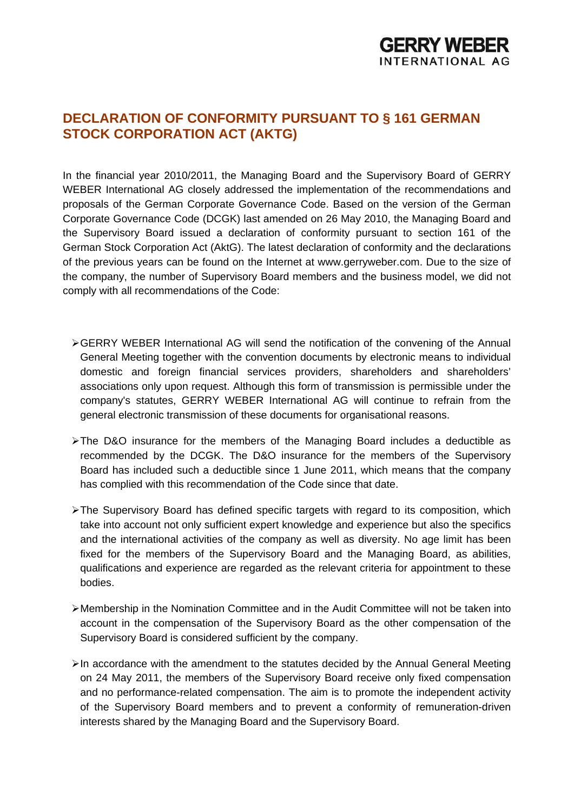## **DECLARATION OF CONFORMITY PURSUANT TO § 161 GERMAN STOCK CORPORATION ACT (AKTG)**

In the financial year 2010/2011, the Managing Board and the Supervisory Board of GERRY WEBER International AG closely addressed the implementation of the recommendations and proposals of the German Corporate Governance Code. Based on the version of the German Corporate Governance Code (DCGK) last amended on 26 May 2010, the Managing Board and the Supervisory Board issued a declaration of conformity pursuant to section 161 of the German Stock Corporation Act (AktG). The latest declaration of conformity and the declarations of the previous years can be found on the Internet at www.gerryweber.com. Due to the size of the company, the number of Supervisory Board members and the business model, we did not comply with all recommendations of the Code:

- GERRY WEBER International AG will send the notification of the convening of the Annual General Meeting together with the convention documents by electronic means to individual domestic and foreign financial services providers, shareholders and shareholders' associations only upon request. Although this form of transmission is permissible under the company's statutes, GERRY WEBER International AG will continue to refrain from the general electronic transmission of these documents for organisational reasons.
- The D&O insurance for the members of the Managing Board includes a deductible as recommended by the DCGK. The D&O insurance for the members of the Supervisory Board has included such a deductible since 1 June 2011, which means that the company has complied with this recommendation of the Code since that date.
- > The Supervisory Board has defined specific targets with regard to its composition, which take into account not only sufficient expert knowledge and experience but also the specifics and the international activities of the company as well as diversity. No age limit has been fixed for the members of the Supervisory Board and the Managing Board, as abilities, qualifications and experience are regarded as the relevant criteria for appointment to these bodies.
- Membership in the Nomination Committee and in the Audit Committee will not be taken into account in the compensation of the Supervisory Board as the other compensation of the Supervisory Board is considered sufficient by the company.
- $\triangleright$ In accordance with the amendment to the statutes decided by the Annual General Meeting on 24 May 2011, the members of the Supervisory Board receive only fixed compensation and no performance-related compensation. The aim is to promote the independent activity of the Supervisory Board members and to prevent a conformity of remuneration-driven interests shared by the Managing Board and the Supervisory Board.